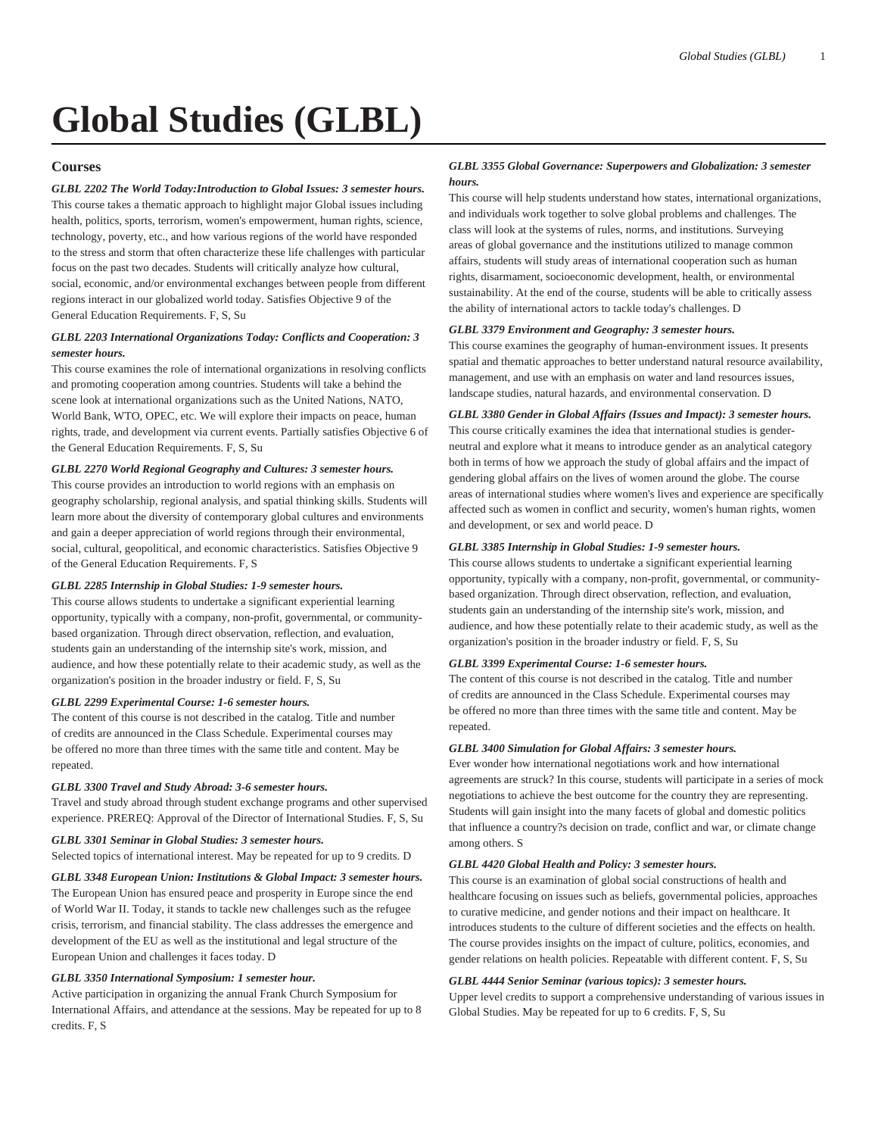# **Global Studies (GLBL)**

## **Courses**

*GLBL 2202 The World Today:Introduction to Global Issues: 3 semester hours.* This course takes a thematic approach to highlight major Global issues including health, politics, sports, terrorism, women's empowerment, human rights, science, technology, poverty, etc., and how various regions of the world have responded to the stress and storm that often characterize these life challenges with particular focus on the past two decades. Students will critically analyze how cultural, social, economic, and/or environmental exchanges between people from different regions interact in our globalized world today. Satisfies Objective 9 of the General Education Requirements. F, S, Su

# *GLBL 2203 International Organizations Today: Conflicts and Cooperation: 3 semester hours.*

This course examines the role of international organizations in resolving conflicts and promoting cooperation among countries. Students will take a behind the scene look at international organizations such as the United Nations, NATO, World Bank, WTO, OPEC, etc. We will explore their impacts on peace, human rights, trade, and development via current events. Partially satisfies Objective 6 of the General Education Requirements. F, S, Su

## *GLBL 2270 World Regional Geography and Cultures: 3 semester hours.*

This course provides an introduction to world regions with an emphasis on geography scholarship, regional analysis, and spatial thinking skills. Students will learn more about the diversity of contemporary global cultures and environments and gain a deeper appreciation of world regions through their environmental, social, cultural, geopolitical, and economic characteristics. Satisfies Objective 9 of the General Education Requirements. F, S

## *GLBL 2285 Internship in Global Studies: 1-9 semester hours.*

This course allows students to undertake a significant experiential learning opportunity, typically with a company, non-profit, governmental, or communitybased organization. Through direct observation, reflection, and evaluation, students gain an understanding of the internship site's work, mission, and audience, and how these potentially relate to their academic study, as well as the organization's position in the broader industry or field. F, S, Su

## *GLBL 2299 Experimental Course: 1-6 semester hours.*

The content of this course is not described in the catalog. Title and number of credits are announced in the Class Schedule. Experimental courses may be offered no more than three times with the same title and content. May be repeated.

## *GLBL 3300 Travel and Study Abroad: 3-6 semester hours.*

Travel and study abroad through student exchange programs and other supervised experience. PREREQ: Approval of the Director of International Studies. F, S, Su

## *GLBL 3301 Seminar in Global Studies: 3 semester hours.*

Selected topics of international interest. May be repeated for up to 9 credits. D

## *GLBL 3348 European Union: Institutions & Global Impact: 3 semester hours.*

The European Union has ensured peace and prosperity in Europe since the end of World War II. Today, it stands to tackle new challenges such as the refugee crisis, terrorism, and financial stability. The class addresses the emergence and development of the EU as well as the institutional and legal structure of the European Union and challenges it faces today. D

## *GLBL 3350 International Symposium: 1 semester hour.*

Active participation in organizing the annual Frank Church Symposium for International Affairs, and attendance at the sessions. May be repeated for up to 8 credits. F, S

## *GLBL 3355 Global Governance: Superpowers and Globalization: 3 semester hours.*

This course will help students understand how states, international organizations, and individuals work together to solve global problems and challenges. The class will look at the systems of rules, norms, and institutions. Surveying areas of global governance and the institutions utilized to manage common affairs, students will study areas of international cooperation such as human rights, disarmament, socioeconomic development, health, or environmental sustainability. At the end of the course, students will be able to critically assess the ability of international actors to tackle today's challenges. D

## *GLBL 3379 Environment and Geography: 3 semester hours.*

This course examines the geography of human-environment issues. It presents spatial and thematic approaches to better understand natural resource availability, management, and use with an emphasis on water and land resources issues, landscape studies, natural hazards, and environmental conservation. D

## *GLBL 3380 Gender in Global Affairs (Issues and Impact): 3 semester hours.*

This course critically examines the idea that international studies is genderneutral and explore what it means to introduce gender as an analytical category both in terms of how we approach the study of global affairs and the impact of gendering global affairs on the lives of women around the globe. The course areas of international studies where women's lives and experience are specifically affected such as women in conflict and security, women's human rights, women and development, or sex and world peace. D

## *GLBL 3385 Internship in Global Studies: 1-9 semester hours.*

This course allows students to undertake a significant experiential learning opportunity, typically with a company, non-profit, governmental, or communitybased organization. Through direct observation, reflection, and evaluation, students gain an understanding of the internship site's work, mission, and audience, and how these potentially relate to their academic study, as well as the organization's position in the broader industry or field. F, S, Su

## *GLBL 3399 Experimental Course: 1-6 semester hours.*

The content of this course is not described in the catalog. Title and number of credits are announced in the Class Schedule. Experimental courses may be offered no more than three times with the same title and content. May be repeated.

## *GLBL 3400 Simulation for Global Affairs: 3 semester hours.*

Ever wonder how international negotiations work and how international agreements are struck? In this course, students will participate in a series of mock negotiations to achieve the best outcome for the country they are representing. Students will gain insight into the many facets of global and domestic politics that influence a country?s decision on trade, conflict and war, or climate change among others. S

## *GLBL 4420 Global Health and Policy: 3 semester hours.*

This course is an examination of global social constructions of health and healthcare focusing on issues such as beliefs, governmental policies, approaches to curative medicine, and gender notions and their impact on healthcare. It introduces students to the culture of different societies and the effects on health. The course provides insights on the impact of culture, politics, economies, and gender relations on health policies. Repeatable with different content. F, S, Su

## *GLBL 4444 Senior Seminar (various topics): 3 semester hours.*

Upper level credits to support a comprehensive understanding of various issues in Global Studies. May be repeated for up to 6 credits. F, S, Su